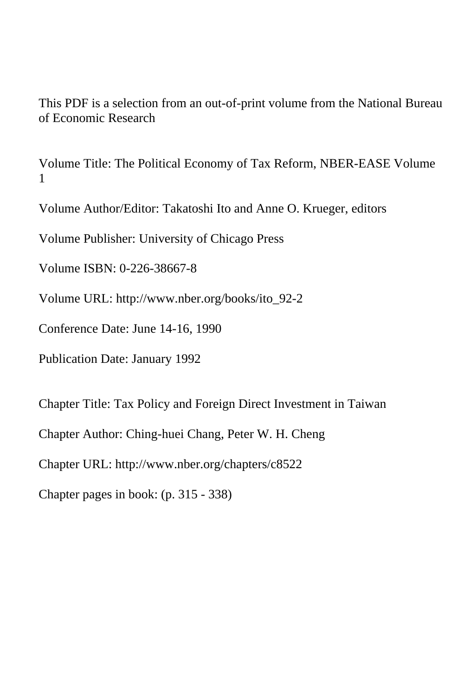This PDF is a selection from an out-of-print volume from the National Bureau of Economic Research

Volume Title: The Political Economy of Tax Reform, NBER-EASE Volume 1

Volume Author/Editor: Takatoshi Ito and Anne O. Krueger, editors

Volume Publisher: University of Chicago Press

Volume ISBN: 0-226-38667-8

Volume URL: http://www.nber.org/books/ito\_92-2

Conference Date: June 14-16, 1990

Publication Date: January 1992

Chapter Title: Tax Policy and Foreign Direct Investment in Taiwan

Chapter Author: Ching-huei Chang, Peter W. H. Cheng

Chapter URL: http://www.nber.org/chapters/c8522

Chapter pages in book: (p. 315 - 338)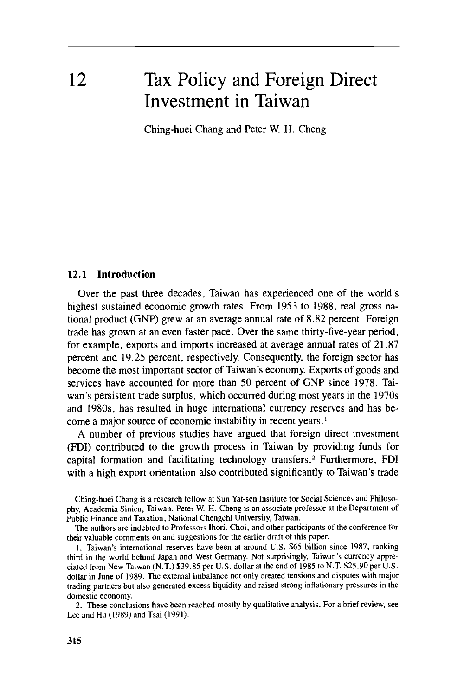# 12 Tax Policy and Foreign Direct Investment in Taiwan

Ching-huei Chang and Peter W. H. Cheng

#### **12.1 Introduction**

Over the past three decades, Taiwan has experienced one of the world's highest sustained economic growth rates. From 1953 to 1988, real gross national product (GNP) grew at an average annual rate of 8.82 percent. Foreign trade has grown at an even faster pace. Over the same thirty-five-year period, for example, exports and imports increased at average annual rates of 21.87 percent and 19.25 percent, respectively. Consequently, the foreign sector has become the most important sector of Taiwan's economy. Exports of goods and services have accounted for more than 50 percent of GNP since 1978. Taiwan's persistent trade surplus, which occurred during most years in the 1970s and 1980s, has resulted in huge international currency reserves and has become a major source of economic instability in recent years.<sup>1</sup>

**A** number of previous studies have argued that foreign direct investment (FDI) contributed to the growth process in Taiwan by providing funds for capital formation and facilitating technology transfers.<sup>2</sup> Furthermore, FDI with a high export orientation also contributed significantly to Taiwan's trade

Ching-huei Chang is a research fellow at Sun Yat-sen Institute for Social Sciences and Philosophy, Academia Sinica, Taiwan. Peter W. H. Cheng is an associate professor at the Department of Public Finance and Taxation, National Chengchi University, Taiwan.

The authors are indebted to Professors Ihori, Choi, and other participants **of** the conference for their valuable comments on and suggestions for the earlier draft of this paper.

1. Taiwan's international reserves have been at around **U.S.** *\$65* billion since 1987, ranking third in the world behind Japan and West Germany. Not surprisingly, Taiwan's currency appreciated from New Taiwan (N.T.) \$39.85 **per** U.S. dollar at the end of 1985 to N.T. \$25.90 **per** U.S. dollar in **June** of 1989. The external imbalance not only created tensions and disputes with major trading partners but also generated excess liquidity and raised strong inflationary pressures in the domestic economy.

2. These conclusions have been reached mostly by qualitative analysis. **For** a brief review, see Lee and **Hu** (1989) and Tsai (1991).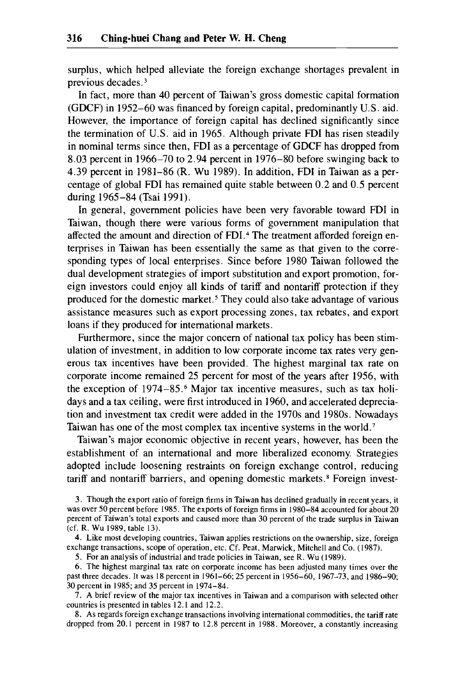surplus, which helped alleviate the foreign exchange shortages prevalent in previous decades.<sup>3</sup>

In fact, more than 40 percent of Taiwan's gross domestic capital formation (GDCF) in 1952-60 was financed by foreign capital, predominantly U.S. aid. However, the importance of foreign capital has declined significantly since the termination of U.S. aid in 1965. Although private FDI has risen steadily in nominal terms since then, FDI as a percentage of GDCF has dropped from 8.03 percent in 1966-70 to 2.94 percent in 1976-80 before swinging back to 4.39 percent in 1981-86 (R. Wu 1989). In addition, FDI in Taiwan as a percentage of global FDI has remained quite stable between 0.2 and 0.5 percent during 1965-84 (Tsai 1991).

In general, government policies have been very favorable toward FDI in Taiwan, though there were various forms of government manipulation that affected the amount and direction of FDI.<sup>4</sup> The treatment afforded foreign enterprises in Taiwan has been essentially the same as that given to the corresponding types of local enterprises. Since before 1980 Taiwan followed the dual development strategies of import substitution and export promotion, foreign investors could enjoy all kinds of tariff and nontariff protection if they produced for the domestic market.<sup>5</sup> They could also take advantage of various assistance measures such as export processing zones, tax rebates, and export loans if they produced for international markets.

Furthermore, since the major concern of national tax policy has been stimulation of investment, in addition to low corporate income tax rates very generous tax incentives have been provided. The highest marginal tax rate on corporate income remained 25 percent for most of the years after 1956, with the exception of 1974-85.<sup>6</sup> Major tax incentive measures, such as tax holidays and a tax ceiling, were first introduced in 1960, and accelerated depreciation and investment tax credit were added in the 1970s and 1980s. Nowadays Taiwan has one of the most complex tax incentive systems in the world.'

Taiwan's major economic objective in recent years, however, has been the establishment of an international and more liberalized economy. Strategies adopted include loosening restraints on foreign exchange control, reducing tariff and nontariff barriers, and opening domestic markets.<sup>8</sup> Foreign invest-

3. Though the export ratio of foreign firms in Taiwan has declined gradually in recent years, it was over 50 percent before 1985. The exports of foreign firms in 1980-84 accounted for about 20 percent of Taiwan's total exports and caused more than 30 percent of the trade surplus in Taiwan (cf. **R.** Wu 1989, table **13).** 

4. Like most developing countries, Taiwan applies restrictions on the ownership, size, foreign exchange transactions, scope of operation, etc. Cf. Peat, Marwick, Mitchell and Co. (1987).

5. For an analysis of industrial and trade policies in Taiwan, see **R.** Wu (1989).

6. The highest marginal tax rate on corporate income has been adjusted many times over the past three decades. It was 18 percent in 1961-66; 25 percent in 1956-60, 1967-73, and 1986-90; 30 percent in 1985; and 35 percent in 1974-84.

7. **A** brief review of the major tax incentives in Taiwan and **a** comparison with selected other countries is presented in tables 12.1 and 12.2.

8. **As** regards foreign exchange transactions involving international commodities, the tariff rate dropped from 20.1 percent in 1987 to 12.8 percent in 1988. Moreover, a constantly increasing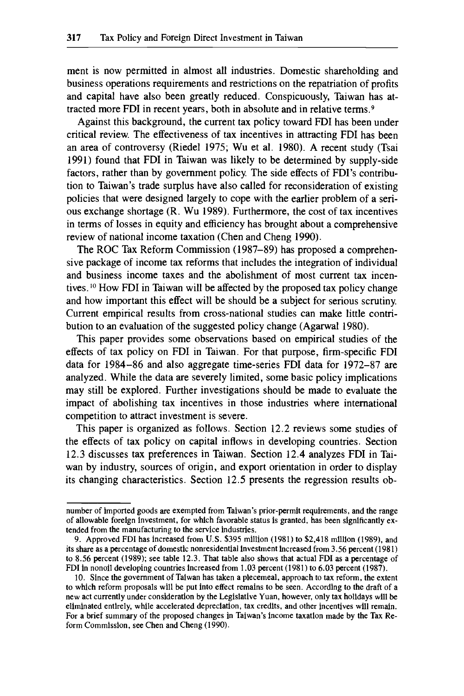ment is now permitted in almost all industries. Domestic shareholding and business operations requirements and restrictions on the repatriation of profits and capital have also been greatly reduced. Conspicuously, Taiwan has attracted more FDI in recent years, both in absolute and in relative terms.<sup>9</sup>

Against this background, the current tax policy toward FDI has been under critical review. The effectiveness of tax incentives in attracting FDI has been an area of controversy (Riedel 1975; Wu et al. 1980). **A** recent study (Tsai 1991) found that FDI in Taiwan was likely to be determined by supply-side factors, rather than by government policy. The side effects of FDI's contribution to Taiwan's trade surplus have also called for reconsideration of existing policies that were designed largely to cope with the earlier problem of a serious exchange shortage (R. Wu 1989). Furthermore, the cost of tax incentives in terms of losses in equity and efficiency has brought about a comprehensive review of national income taxation (Chen and Cheng 1990).

The ROC Tax Reform Commission (1987-89) has proposed a comprehensive package of income tax reforms that includes the integration of individual and business income taxes and the abolishment of most current tax incentives.<sup>10</sup> How FDI in Taiwan will be affected by the proposed tax policy change and how important this effect will be should be a subject for serious scrutiny. Current empirical results from cross-national studies can make little contribution to an evaluation of the suggested policy change (Agarwal 1980).

This paper provides some observations based on empirical studies of the effects of tax policy on FDI in Taiwan. For that purpose, firm-specific FDI data for 1984-86 and also aggregate time-series FDI data for 1972-87 are analyzed. While the data are severely limited, some basic policy implications may still be explored. Further investigations should be made to evaluate the impact of abolishing tax incentives in those industries where international competition to attract investment is severe.

This paper is organized as follows. Section 12.2 reviews some studies of the effects of tax policy on capital inflows in developing countries. Section 12.3 discusses tax preferences in Taiwan. Section 12.4 analyzes FDI in Taiwan by industry, sources of origin, and export orientation in order to display its changing characteristics. Section 12.5 presents the regression results ob-

number of imported goods are exempted from Taiwan's prior-permit requirements, and the range of allowable foreign investment, for which favorable status is granted, has been significantly extended from the manufacturing to the service industries.

<sup>9.</sup> Approved FDI has increased from **U.S.** \$395 million (1981) to \$2,418 million (1989), and its share as a percentage of domestic nonresidential investment increased from 3.56 percent (1981) to 8.56 percent (1989); see table 12.3. That table also shows that actual FDI **as** a percentage of FDI in nonoil developing countries increased from 1.03 percent (1981) to 6.03 percent (1987).

<sup>10.</sup> Since the government of Taiwan has taken a piecemeal, approach to tax reform, the extent to which reform proposals will be put into effect remains to be seen. According to the draft of a new act currently under consideration by the Legislative **Yuan,** however, only tax holidays will be eliminated entirely, while accelerated depreciation, tax credits, and other incentives will remain. For a brief summary of the proposed changes in Taiwan's income taxation made by the Tax Reform Commission, see Chen and Cheng (1990).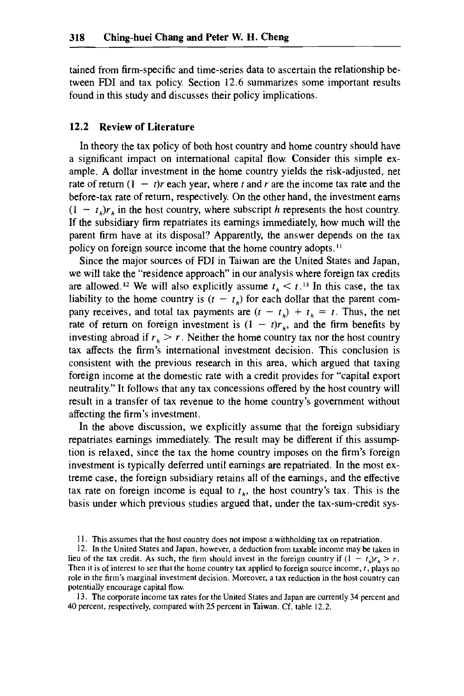tained from firm-specific and time-series data to ascertain the relationship between FDI and tax policy. Section **12.6** summarizes some important results found in this study and discusses their policy implications.

#### **12.2 Review of Literature**

In theory the tax policy of both host country and home country should have a significant impact on international capital flow. Consider this simple example. A dollar investment in the home country yields the risk-adjusted, net rate of return  $(1 - t)r$  each year, where *t* and *r* are the income tax rate and the before-tax rate of return, respectively. On the other hand, the investment earns  $(1 - t<sub>b</sub>)r<sub>b</sub>$  in the host country, where subscript *h* represents the host country. If the subsidiary firm repatriates its earnings immediately, how much will the parent firm have at its disposal? Apparently, the answer depends on the tax policy on foreign source income that the home country adopts.<sup>11</sup>

Since the major sources **of** FDI in Taiwan are the United States and Japan, we will take the "residence approach' in our analysis where foreign tax credits are allowed.<sup>12</sup> We will also explicitly assume  $t<sub>h</sub> < t<sup>13</sup>$  In this case, the tax liability to the home country is  $(t - t<sub>h</sub>)$  for each dollar that the parent company receives, and total tax payments are  $(t - t<sub>h</sub>) + t<sub>h</sub> = t$ . Thus, the net rate of return on foreign investment is  $(1 - t)r<sub>h</sub>$ , and the firm benefits by investing abroad if  $r_h > r$ . Neither the home country tax nor the host country tax affects the firm's international investment decision. This conclusion is consistent with the previous research in this area, which argued that taxing foreign income at the domestic rate with a credit provides for "capital export neutrality." It follows that any tax concessions offered by the host country will result in a transfer of tax revenue to the home country's government without affecting the firm's investment.

In the above discussion, we explicitly assume that the foreign subsidiary repatriates earnings immediately. The result may be different if this assumption is relaxed, since the tax the home country imposes on the firm's foreign investment is typically deferred until earnings are repatriated. In the most extreme case, the foreign subsidiary retains all of the earnings, and the effective tax rate on foreign income is equal to  $t<sub>h</sub>$ , the host country's tax. This is the basis under which previous studies argued that, under the tax-sum-credit sys-

**13. The corporate income tax rates for the United States and Japan** are **currently 34 percent and 40 percent, respectively, compared with 25 percent in Taiwan. Cf. table 12.2.** 

<sup>11.</sup> **This assumes that the host country does not impose a withholding tax on repatriation.** 

**<sup>12.</sup> In the United States and Japan, however, a deduction from taxable income may be taken in**  lieu of the tax credit. As such, the firm should invest in the foreign country if  $(1 - t_h)r_h > r$ . **Then it is of interest to** see **that the home country tax applied to foreign source income,** *t,* **plays no role in the firm's marginal investment decision. Moreover, a tax reduction in the host country can potentially encourage capital flow.**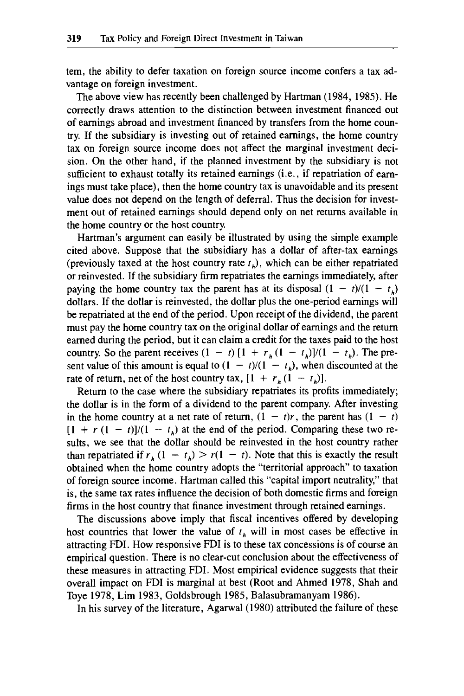tem, the ability to defer taxation on foreign source income confers a tax advantage on foreign investment.

The above view has recently been challenged by Hartman (1984, 1985). He correctly draws attention to the distinction between investment financed out of earnings abroad and investment financed by transfers from the home country. If the subsidiary is investing out of retained earnings, the home country tax on foreign source income does not affect the marginal investment decision. On the other hand, if the planned investment by the subsidiary is not sufficient to exhaust totally its retained earnings (i.e., if repatriation of earnings must take place), then the home country tax is unavoidable and its present value does not depend on the length of deferral. Thus the decision for investment out of retained earnings should depend only on net returns available in the home country or the host country.

Hartman's argument can easily be illustrated by using the simple example cited above. Suppose that the subsidiary has a dollar of after-tax earnings (previously taxed at the host country rate  $t<sub>k</sub>$ ), which can be either repatriated or reinvested. If the subsidiary firm repatriates the earnings immediately, after paying the home country tax the parent has at its disposal  $(1 - t)/(1 - t_h)$ dollars. If the dollar is reinvested, the dollar plus the one-period earnings will be repatriated at the end of the period. Upon receipt of the dividend, the parent must pay the home country tax on the original dollar of earnings and the return earned during the period, but it can claim a credit for the taxes paid to the host country. So the parent receives  $(1 - t) [1 + r_h (1 - t_h)]/(1 - t_h)$ . The present value of this amount is equal to  $(1 - t)/(1 - t<sub>b</sub>)$ , when discounted at the rate of return, net of the host country tax,  $[1 + r<sub>h</sub> (1 - t<sub>h</sub>)].$ 

Return to the case where the subsidiary repatriates its profits immediately; the dollar is in the form of a dividend to the parent company. After investing in the home country at a net rate of return,  $(1 - t)r$ , the parent has  $(1 - t)$  $[1 + r (1 - t)]/(1 - t<sub>h</sub>)$  at the end of the period. Comparing these two results, we see that the dollar should be reinvested in the host country rather than repatriated if  $r<sub>k</sub>$   $(1 - t<sub>k</sub>) > r(1 - t)$ . Note that this is exactly the result obtained when the home country adopts the "territorial approach" to taxation of foreign source income. Hartman called this "capital import neutrality," that is, the same tax rates influence the decision of both domestic firms and foreign firms in the host country that finance investment through retained earnings.

The discussions above imply that fiscal incentives offered by developing host countries that lower the value of  $t<sub>h</sub>$  will in most cases be effective in attracting FDI. How responsive FDI is to these tax concessions is of course an empirical question. There is no clear-cut conclusion about the effectiveness of these measures in attracting FDI. Most empirical evidence suggests that their overall impact on FDI is marginal at best (Root and Ahmed 1978, Shah and Toye 1978, Lim 1983, Goldsbrough 1985, Balasubramanyam 1986).

In his survey of the literature, Agarwal(l980) attributed the failure **of** these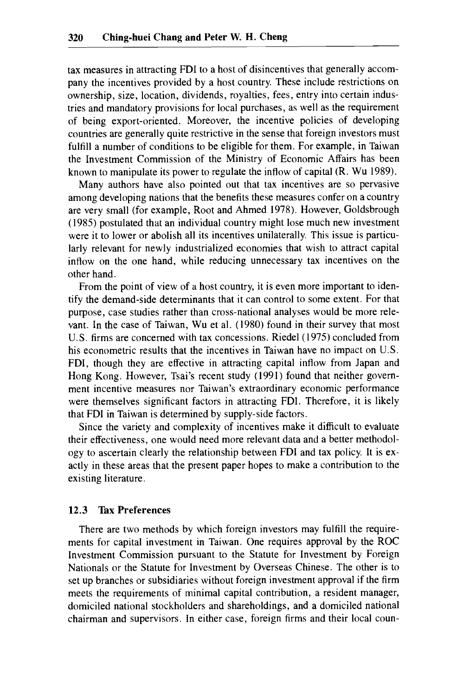tax measures in attracting FDI to a host of disincentives that generally accompany the incentives provided by a host country. These include restrictions on ownership, size, location, dividends, royalties, fees, entry into certain industries and mandatory provisions for local purchases, as well as the requirement of being export-oriented. Moreover, the incentive policies of developing countries are generally quite restrictive in the sense that foreign investors must fulfill a number of conditions to be eligible for them. For example, in Taiwan the Investment Commission of the Ministry of Economic Affairs has been known to manipulate its power to regulate the inflow of capital (R. Wu 1989).

Many authors have also pointed out that tax incentives are so pervasive among developing nations that the benefits these measures confer on a country are very small (for example, Root and Ahmed 1978). However, Goldsbrough (1985) postulated that an individual country might lose much new investment were it to lower or abolish all its incentives unilaterally. This issue is particularly relevant for newly industrialized economies that wish to attract capital inflow on the one hand, while reducing unnecessary tax incentives on the other hand.

From the point of view of a host country, it is even more important to identify the demand-side determinants that it can control to some extent. For that purpose, case studies rather than cross-national analyses would be more relevant. In the case of Taiwan, Wu et al. (1980) found in their survey that most U.S. firms are concerned with tax concessions. Riedel(1975) concluded from his econometric results that the incentives in Taiwan have no impact on U.S. FDI, though they are effective in attracting capital inflow from Japan and Hong Kong. However, Tsai's recent study (1991) found that neither government incentive measures nor Taiwan's extraordinary economic performance were themselves significant factors in attracting FDI. Therefore, it is likely that FDI in Taiwan is determined by supply-side factors.

Since the variety and complexity of incentives make it difficult to evaluate their effectiveness, one would need more relevant data and a better methodology to ascertain clearly the relationship between FDI and tax policy. It is exactly in these areas that the present paper hopes to make a contribution to the existing literature.

#### **12.3 Tax Preferences**

There are two methods by which foreign investors may fulfill the requirements for capital investment in Taiwan. One requires approval by the ROC Investment Commission pursuant to the Statute for Investment by Foreign Nationals or the Statute for Investment by Overseas Chinese. The other is to set up branches or subsidiaries without foreign investment approval if the firm meets the requirements of minimal capital contribution, a resident manager, domiciled national stockholders and shareholdings, and a domiciled national chairman and supervisors. In either case, foreign firms and their local coun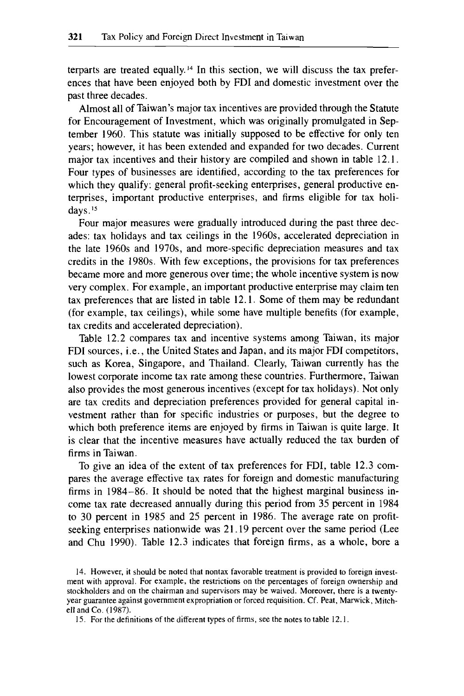terparts are treated equally.<sup>14</sup> In this section, we will discuss the tax preferences that have been enjoyed both by FDI and domestic investment over the past three decades.

Almost all of Taiwan's major tax incentives are provided through the Statute for Encouragement of Investment, which was originally promulgated in September 1960. This statute was initially supposed to be effective for only ten years; however, it has been extended and expanded for two decades. Current major tax incentives and their history are compiled and shown in table 12.1. Four types of businesses are identified, according to the tax preferences for which they qualify: general profit-seeking enterprises, general productive enterprises, important productive enterprises, and firms eligible for tax holidays.<sup>15</sup>

Four major measures were gradually introduced during the past three decades: tax holidays and tax ceilings in the 1960s, accelerated depreciation in the late 1960s and 1970s, and more-specific depreciation measures and tax credits in the 1980s. With few exceptions, the provisions for tax preferences became more and more generous over time; the whole incentive system is now very complex. For example, an important productive enterprise may claim ten tax preferences that are listed in table 12.1. Some of them may be redundant (for example, tax ceilings), while some have multiple benefits (for example, tax credits and accelerated depreciation).

Table 12.2 compares tax and incentive systems among Taiwan, its major FDI sources, i.e., the United States and Japan, and its major FDI competitors, such as Korea, Singapore, and Thailand. Clearly, Taiwan currently has the lowest corporate income tax rate among these countries. Furthermore, Taiwan also provides the most generous incentives (except for tax holidays). Not only are tax credits and depreciation preferences provided for general capital investment rather than for specific industries or purposes, but the degree to which both preference items are enjoyed by firms in Taiwan is quite large. It is clear that the incentive measures have actually reduced the tax burden of firms in Taiwan.

To give an idea of the extent of tax preferences for FDI, table 12.3 compares the average effective tax rates for foreign and domestic manufacturing firms in 1984-86. It should be noted that the highest marginal business income tax rate decreased annually during this period from 35 percent in 1984 to 30 percent in 1985 and 25 percent in 1986. The average rate on profitseeking enterprises nationwide was 21.19 percent over the same period (Lee and Chu 1990). Table 12.3 indicates that foreign firms, as a whole, bore a

**<sup>14.</sup>** However, it should be noted that nontax favorable treatment is provided to foreign investment with approval. For example, the restrictions on the percentages **of** foreign ownership and stockholders and on the chairman and supervisors may be waived. Moreover, there is a twentyyear guarantee against government expropriation or forced requisition. Cf. Peat, Marwick, Mitchell and *Co.* (1987).

<sup>15.</sup> For the definitions of the different types of **firms,** see the notes to table 12.1.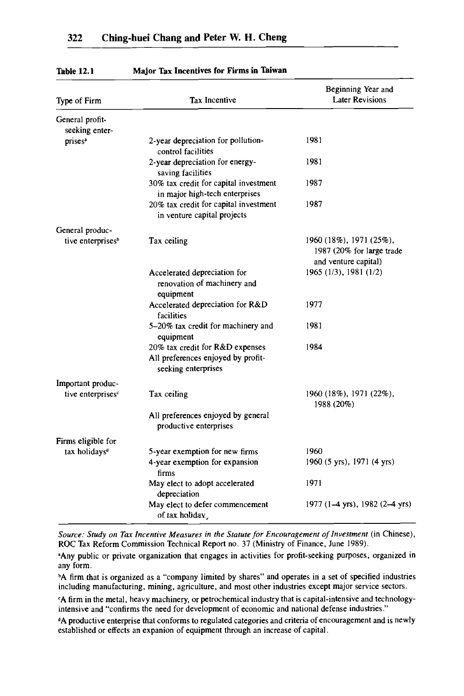| Type of Firm                      | Tax Incentive                                                            | Beginning Year and<br><b>Later Revisions</b>                                 |
|-----------------------------------|--------------------------------------------------------------------------|------------------------------------------------------------------------------|
| General profit-<br>seeking enter- |                                                                          |                                                                              |
| prises <sup>a</sup>               | 2-year depreciation for pollution-<br>control facilities                 | 1981                                                                         |
|                                   | 2-year depreciation for energy-<br>saving facilities                     | 1981                                                                         |
|                                   | 30% tax credit for capital investment<br>in major high-tech enterprises  | 1987                                                                         |
|                                   | 20% tax credit for capital investment<br>in venture capital projects     | 1987                                                                         |
| General produc-                   |                                                                          |                                                                              |
| tive enterprises <sup>b</sup>     | Tax ceiling                                                              | 1960 (18%), 1971 (25%),<br>1987 (20% for large trade<br>and venture capital) |
|                                   | Accelerated depreciation for<br>renovation of machinery and<br>equipment | 1965 (1/3), 1981 (1/2)                                                       |
|                                   | Accelerated depreciation for R&D<br>facilities                           | 1977                                                                         |
|                                   | 5-20% tax credit for machinery and<br>equipment                          | 1981                                                                         |
|                                   | 20% tax credit for R&D expenses                                          | 1984                                                                         |
|                                   | All preferences enjoyed by profit-<br>seeking enterprises                |                                                                              |
| Important produc-                 |                                                                          |                                                                              |
| tive enterprises <sup>c</sup>     | Tax ceiling                                                              | 1960 (18%), 1971 (22%),<br>1988 (20%)                                        |
|                                   | All preferences enjoyed by general<br>productive enterprises             |                                                                              |
| Firms eligible for                |                                                                          |                                                                              |
| tax holidays <sup>d</sup>         | 5-year exemption for new firms                                           | 1960                                                                         |
|                                   | 4-year exemption for expansion<br>firms                                  | 1960 (5 yrs), 1971 (4 yrs)                                                   |
|                                   | May elect to adopt accelerated<br>depreciation                           | 1971                                                                         |
|                                   | May elect to defer commencement<br>of tax holiday.                       | 1977 (1-4 yrs), 1982 (2-4 yrs)                                               |

**Table 12.1 Major Tax Incentives for Firms in Taiwan** 

*Source: Study on Tax Incentive Measures in the Statute for Encouragement of Investment* (in Chinese), ROC Tax Reform Commission Technical Report no. 37 (Ministry of Finance, June 1989).

'Any public or private organization that engages in activities for profit-seeking purposes, organized in any form.

**A** firm that is organized as a "company limited by shares" and operates in a set of specified industries including manufacturing, mining, agriculture, and most other industries except major service sectors.

cA firm in the metal, heavy machinery, or petrochemical industry that is capital-intensive and technologyintensive and "confirms the need for development of economic and national defense industries."

dA productive enterprise that conforms to regulated categories and criteria of encouragement and is newly established or effects an expanion of equipment through an increase of capital.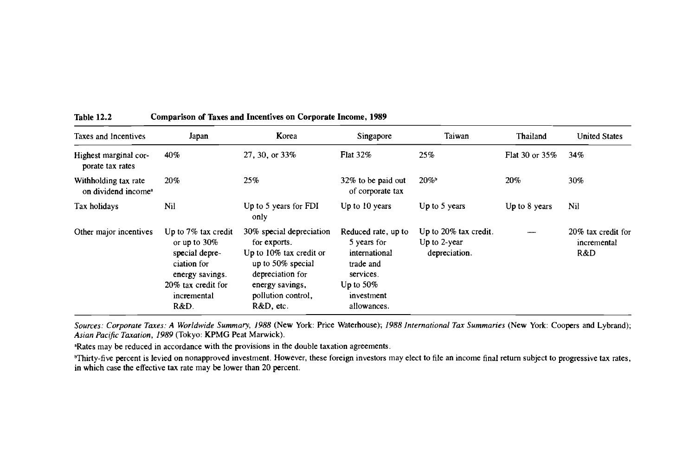| Taxes and Incentives                                    | Japan                                                                                                                                      | Korea                                                                                                                                                              | Singapore                                                                                                                  | Taiwan                                                    | Thailand       | <b>United States</b>                     |
|---------------------------------------------------------|--------------------------------------------------------------------------------------------------------------------------------------------|--------------------------------------------------------------------------------------------------------------------------------------------------------------------|----------------------------------------------------------------------------------------------------------------------------|-----------------------------------------------------------|----------------|------------------------------------------|
| Highest marginal cor-<br>porate tax rates               | 40%                                                                                                                                        | $27, 30,$ or $33\%$                                                                                                                                                | <b>Flat 32%</b>                                                                                                            | 25%                                                       | Flat 30 or 35% | 34%                                      |
| Withholding tax rate<br>on dividend income <sup>a</sup> | 20%                                                                                                                                        | 25%                                                                                                                                                                | 32% to be paid out<br>of corporate tax                                                                                     | $20\%$ <sup>b</sup>                                       | 20%            | 30%                                      |
| Tax holidays                                            | Nil                                                                                                                                        | Up to 5 years for FDI<br>only                                                                                                                                      | Up to 10 years                                                                                                             | Up to 5 years                                             | Up to 8 years  | Nil                                      |
| Other major incentives                                  | Up to $7\%$ tax credit<br>or up to $30\%$<br>special depre-<br>ciation for<br>energy savings.<br>20% tax credit for<br>incremental<br>R&D. | 30% special depreciation<br>for exports.<br>Up to 10% tax credit or<br>up to 50% special<br>depreciation for<br>energy savings,<br>pollution control,<br>R&D, etc. | Reduced rate, up to<br>5 years for<br>international<br>trade and<br>services.<br>Up to $50\%$<br>investment<br>allowances. | Up to 20% tax credit.<br>Up to $2$ -year<br>depreciation. |                | 20% tax credit for<br>incremental<br>R&D |

#### **Table 12.2 Comparison of Taxes and Incentives on Corporate Income, 1989**

*Sources: Corporate Taxes:* **A** *Worldwide Summary, 1988* (New York: Price Waterhouse); *1988* International Tax *Summaries* (New York: Coopers and Lybrand); *Asian Pacijc Taxution, 1989* (Tokyo: KPMG Peat Marwick).

'Rates may be reduced in accordance with the provisions in the double taxation agreements.

bThirty-five percent is levied on nonapproved investment. However, these foreign investors may elect to file an income final return subject to progressive tax rates, in which case the effective tax rate may be lower than 20 percent.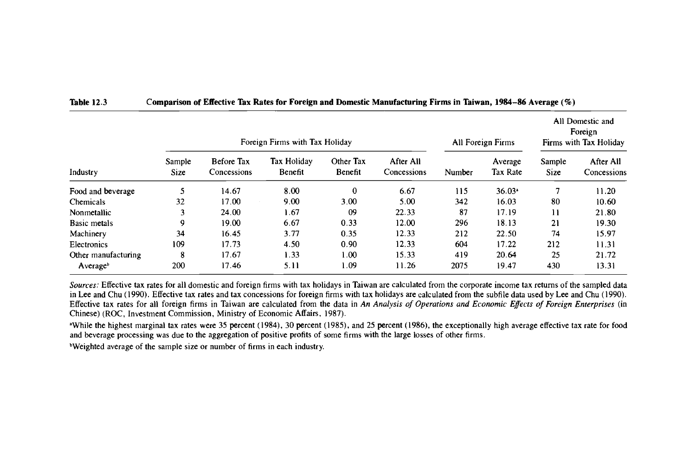|  | Table 12.3 |  | Comparison of Effective Tax Rates for Foreign and Domestic Manufacturing Firms in Taiwan, 1984–86 Average (%) |  |  |
|--|------------|--|---------------------------------------------------------------------------------------------------------------|--|--|
|--|------------|--|---------------------------------------------------------------------------------------------------------------|--|--|

|                     |                |                                  | Foreign Firms with Tax Holiday |                      |                          |        | All Foreign Firms   | All Domestic and<br>Foreign<br>Firms with Tax Holiday |                          |
|---------------------|----------------|----------------------------------|--------------------------------|----------------------|--------------------------|--------|---------------------|-------------------------------------------------------|--------------------------|
| Industry            | Sample<br>Size | <b>Before Tax</b><br>Concessions | Tax Holiday<br>Benefit         | Other Tax<br>Benefit | After All<br>Concessions | Number | Average<br>Tax Rate | Sample<br><b>Size</b>                                 | After All<br>Concessions |
| Food and beverage   |                | 14.67                            | 8.00                           | 0                    | 6.67                     | 115    | $36.03*$            | 7                                                     | 11.20                    |
| Chemicals           | 32             | 17.00                            | 9.00                           | 3.00                 | 5.00                     | 342    | 16.03               | 80                                                    | 10.60                    |
| Nonmetallic         |                | 24.00                            | 1.67                           | 09                   | 22.33                    | 87     | 17.19               | 11                                                    | 21.80                    |
| <b>Basic metals</b> | 9              | 19.00                            | 6.67                           | 0.33                 | 12.00                    | 296    | 18.13               | 21                                                    | 19.30                    |
| Machinery           | 34             | 16.45                            | 3.77                           | 0.35                 | 12.33                    | 212    | 22.50               | 74                                                    | 15.97                    |
| Electronics         | 109            | 17.73                            | 4.50                           | 0.90                 | 12.33                    | 604    | 17.22               | 212                                                   | 11.31                    |
| Other manufacturing | 8              | 17.67                            | 1.33                           | 1.00 <sub>1</sub>    | 15.33                    | 419    | 20.64               | 25                                                    | 21.72                    |
| Averageb            | 200            | 17.46                            | 5.11                           | 1.09                 | 11.26                    | 2075   | 19.47               | 430                                                   | 13.31                    |

Sources: Effective tax rates for all domestic and foreign firms with tax holidays in Taiwan are calculated from the corporate income tax returns of the sampled data in Lee and Chu (1990). Effective tax rates and tax concessions for foreign firms with tax holidays are calculated from the subfile data used by Lee and Chu (1990). Effective tax rates for all foreign firms in Taiwan are calculated from the data in *An Analysis* of *Operations and Economic Effecrs of Foreign Enterprises* (in Chinese) (ROC, Investment Commission, Ministry of Economic Affairs, 1987).

the highest marginal tax rates were 35 percent (1984). 30 percent (l985), and 25 percent (1986). the exceptionally high average effective tax rate for food and beverage processing was due to the aggregation of positive profits of some firms with the large losses of other firms.

bWeighted average of the sample size or number of firms in each industry.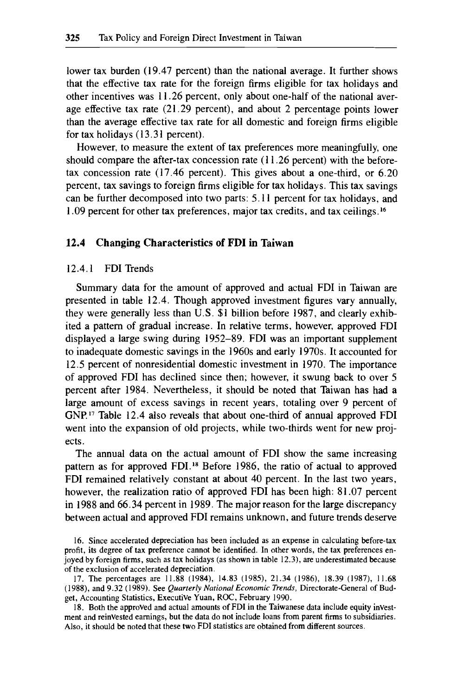lower tax burden (19.47 percent) than the national average. It further shows that the effective tax rate for the foreign firms eligible for tax holidays and other incentives was 11.26 percent, only about one-half of the national average effective tax rate (21.29 percent), and about **2** percentage points lower than the average effective tax rate for all domestic and foreign firms eligible for tax holidays (13.31 percent).

However, to measure the extent of tax preferences more meaningfully, one should compare the after-tax concession rate (11.26 percent) with the beforetax concession rate (17.46 percent). This gives about a one-third, or 6.20 percent, tax savings to foreign firms eligible for tax holidays. This tax savings can be further decomposed into two parts: 5.11 percent for tax holidays, and 1.09 percent for other tax preferences, major tax credits, and tax ceilings.<sup>16</sup>

#### **12.4 Changing Characteristics of FDI in Taiwan**

### 12.4.1 FDI Trends

Summary data for the amount of approved and actual FDI in Taiwan are presented in table 12.4. Though approved investment figures vary annually, they were generally less than **U.S.** \$1 billion before 1987, and clearly exhibited a pattern of gradual increase. In relative terms, however, approved FDI displayed a large swing during 1952-89. FDI was an important supplement to inadequate domestic savings in the 1960s and early 1970s. It accounted for 12.5 percent of nonresidential domestic investment in 1970. The importance of approved FDI has declined since then; however, it swung back to over 5 percent after 1984. Nevertheless, it should be noted that Taiwan has had a large amount of excess savings in recent years, totaling over 9 percent **of GNP."** Table 12.4 also reveals that about one-third of annual approved FDI went into the expansion of old projects, while two-thirds went for new projects.

The annual data on the actual amount of FDI show the same increasing pattern as for approved FDI.18 Before 1986, the ratio of actual to approved FDI remained relatively constant at about 40 percent. In the last two years, however, the realization ratio of approved FDI has been high: 81.07 percent in 1988 and 66.34 percent in 1989. The major reason for the large discrepancy between actual and approved FDI remains unknown, and future trends deserve

16. Since accelerated depreciation has been included as an expense in calculating before-tax profit, its degree of tax preference cannot be identified. In other words, the tax preferences enjoyed by foreign firms, such as tax holidays (as shown in table 12.3). are underestimated because of the exclusion of accelerated depreciation.

17. The percentages are 11.88 (1984), 14.83 (1985), 21.34 (1986), 18.39 (1987). 11.68 (1988). and 9.32 (1989). See *Quarterly Narional* Economic Trends, Directorate-General of Budget, Accounting Statistics, Executive Yuan, ROC, February 1990.

18. Both the approved and actual amounts of FDI in the Taiwanese data include equity investment and reinvested earnings, but the data do not include loans from parent firms to subsidiaries. Also. it should be noted that these two FDI statistics are obtained from different sources.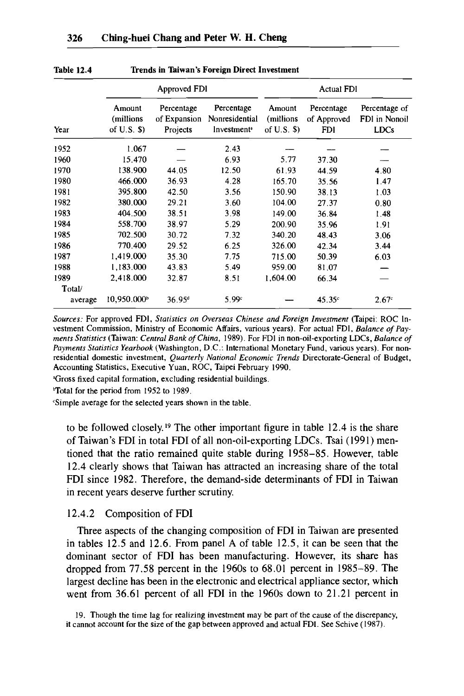|         |                                       | Approved FDI                           | <b>Actual FDI</b>                                             |                                       |                                  |                                               |
|---------|---------------------------------------|----------------------------------------|---------------------------------------------------------------|---------------------------------------|----------------------------------|-----------------------------------------------|
| Year    | Amount<br>(millions)<br>of $U.S.$ \$) | Percentage<br>of Expansion<br>Projects | Percentage<br>Nonresidential<br><i>Investment<sup>®</sup></i> | Amount<br>(millions)<br>of $U.S.$ \$) | Percentage<br>of Approved<br>FDI | Percentage of<br>FDI in Nonoil<br><b>LDCs</b> |
| 1952    | 1.067                                 |                                        | 2.43                                                          |                                       |                                  |                                               |
| 1960    | 15.470                                |                                        | 6.93                                                          | 5.77                                  | 37.30                            |                                               |
| 1970    | 138.900                               | 44.05                                  | 12.50                                                         | 61.93                                 | 44.59                            | 4.80                                          |
| 1980    | 466.000                               | 36.93                                  | 4.28                                                          | 165.70                                | 35.56                            | 1.47                                          |
| 1981    | 395.800                               | 42.50                                  | 3.56                                                          | 150.90                                | 38.13                            | 1.03                                          |
| 1982    | 380.000                               | 29.21                                  | 3.60                                                          | 104.00                                | 27.37                            | 0.80                                          |
| 1983    | 404.500                               | 38.51                                  | 3.98                                                          | 149.00                                | 36.84                            | 1.48                                          |
| 1984    | 558.700                               | 38.97                                  | 5.29                                                          | 200.90                                | 35 96                            | 1.91                                          |
| 1985    | 702.500                               | 30.72                                  | 7.32                                                          | 340.20                                | 48.43                            | 3.06                                          |
| 1986    | 770.400                               | 29.52                                  | 6.25                                                          | 326.00                                | 42.34                            | 3.44                                          |
| 1987    | 1,419 000                             | 35.30                                  | 7.75                                                          | 715.00                                | 50.39                            | 6.03                                          |
| 1988    | 1,183.000                             | 43.83                                  | 5.49                                                          | 959.00                                | 81.07                            |                                               |
| 1989    | 2,418.000                             | 32.87                                  | 8.51                                                          | 1,604.00                              | 66.34                            |                                               |
| Total/  |                                       |                                        |                                                               |                                       |                                  |                                               |
| average | 10,950.000b                           | $36.95^{d}$                            | 5.99c                                                         |                                       | 45.35c                           | 2.67c                                         |

**Table 12.4 It conditions Trends in Taiwan's Foreign Direct Investment** 

*Sources:* For approved FDI, *Statistics* on *Overseas Chinese and Foreign Investment* (Taipei: ROC Investment Commission, Ministry of Economic Affairs, various years). For actual FDI, *Balance of Payments Statistics* (Taiwan: *Central Bank of China,* 1989). For FDI in non-oil-exporting LDCs, *Balance of*  Payments *Staristics Yearbook* (Washington, D.C.: International Monetary Fund, various years). For nonresidential domestic investment, *Quarterly National Economic Trends* Directorate-General of Budget, Accounting Statistics, Executive Yuan, ROC, Taipei February 1990.

Gross fixed capital formation, excluding residential buildings

bTotal for the period from 1952 to 1989.

Simple average for the selected years shown in the table

to be followed closely.<sup>19</sup> The other important figure in table 12.4 is the share of Taiwan's FDI in total FDI of all non-oil-exporting LDCs. Tsai (1991) mentioned that the ratio remained quite stable during 1958-85. However, table 12.4 clearly shows that Taiwan has attracted an increasing share of the total FDI since 1982. Therefore, the demand-side determinants of FDI in Taiwan in recent years deserve further scrutiny.

#### 12.4.2 Composition of FDI

Three aspects of the changing composition of FDI in Taiwan are presented in tables 12.5 and 12.6. From panel **A** of table 12.5, it can be seen that the dominant sector of FDI has been manufacturing. However, its share has dropped from 77.58 percent in the 1960s to 68.01 percent in 1985-89. The largest decline has been in the electronic and electrical appliance sector, which went from 36.61 percent of all FDI in the 1960s down to 21.21 percent in

19. Though the time lag for realizing investment may be part of the cause of the discrepancy, it cannot account for the size of the gap between approved and actual FDI. See Schive (1987).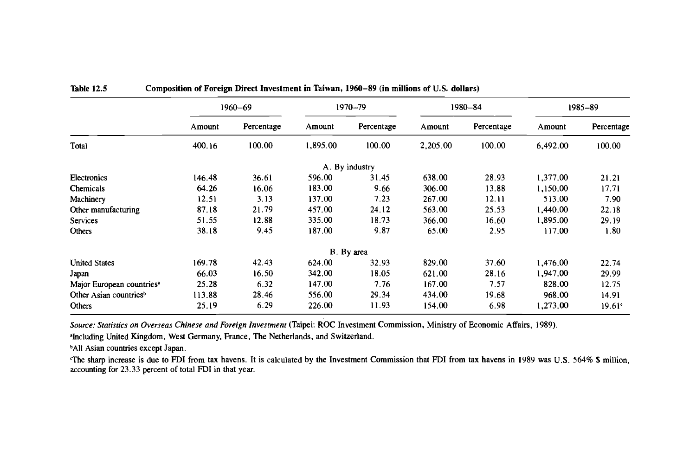|                                       | 1960-69 |            | 1970-79  |                | 1980-84  |            | 1985-89  |                 |
|---------------------------------------|---------|------------|----------|----------------|----------|------------|----------|-----------------|
|                                       | Amount  | Percentage | Amount   | Percentage     | Amount   | Percentage | Amount   | Percentage      |
| Total                                 | 400.16  | 100.00     | 1,895.00 | 100.00         | 2,205.00 | 100.00     | 6,492.00 | 100.00          |
|                                       |         |            |          | A. By industry |          |            |          |                 |
| Electronics                           | 146.48  | 36.61      | 596.00   | 31.45          | 638.00   | 28.93      | 1.377.00 | 21.21           |
| Chemicals                             | 64.26   | 16.06      | 183.00   | 9.66           | 306.00   | 13.88      | 1.150.00 | 17.71           |
| Machinery                             | 12.51   | 3.13       | 137.00   | 7.23           | 267.00   | 12.11      | 513.00   | 7.90            |
| Other manufacturing                   | 87.18   | 21.79      | 457.00   | 24.12          | 563.00   | 25.53      | 1,440.00 | 22.18           |
| Services                              | 51.55   | 12.88      | 335.00   | 18.73          | 366.00   | 16.60      | 1,895.00 | 29.19           |
| Others                                | 38.18   | 9.45       | 187.00   | 9.87           | 65.00    | 2.95       | 117.00   | 1.80            |
|                                       |         |            |          | B. By area     |          |            |          |                 |
| <b>United States</b>                  | 169.78  | 42.43      | 624.00   | 32.93          | 829.00   | 37.60      | 1,476.00 | 22.74           |
| Japan                                 | 66.03   | 16.50      | 342.00   | 18.05          | 621.00   | 28.16      | 1,947.00 | 29.99           |
| Major European countries <sup>a</sup> | 25.28   | 6.32       | 147.00   | 7.76           | 167.00   | 7.57       | 828.00   | 12.75           |
| Other Asian countries <sup>b</sup>    | 113.88  | 28.46      | 556.00   | 29.34          | 434.00   | 19.68      | 968.00   | 14.91           |
| Others                                | 25.19   | 6.29       | 226.00   | 11.93          | 154.00   | 6.98       | 1,273.00 | $19.61^{\circ}$ |

|  | Table 12.5 | Composition of Foreign Direct Investment in Taiwan, 1960–89 (in millions of U.S. dollars) |
|--|------------|-------------------------------------------------------------------------------------------|
|--|------------|-------------------------------------------------------------------------------------------|

*Source: Sratisrics on Overseas Chinese and Foreign* Investment (Taipei: ROC Investment Commission, Ministry of Economic Affairs, 1989).

'Including United Kingdom, West Germany, France, The Netherlands, and Switzerland.

bAll Asian countries except Japan.

The sharp increase is due to FDI from tax havens. It is calculated by the Investment Commission that FDI from tax havens in 1989 was **U.S.** 564% \$ million, accounting for 23.33 percent of total FDI in that year.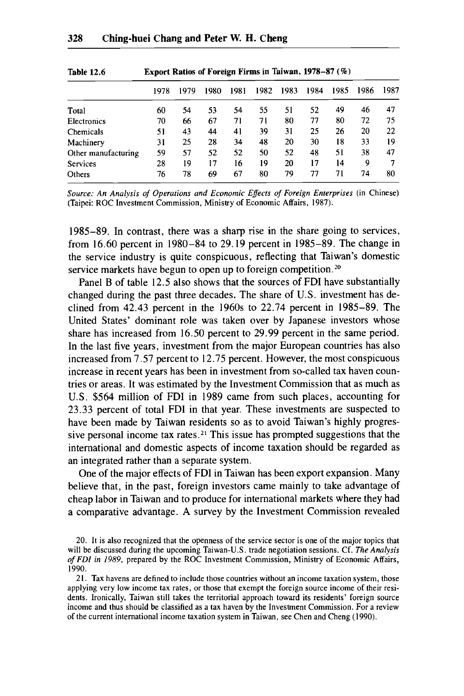|                     | 1978 | 1979 | 1980 | 1981 | 1982 | 1983 | 1984 | 985 | 1986 | 1987 |
|---------------------|------|------|------|------|------|------|------|-----|------|------|
| Total               | 60   | 54   | 53   | 54   | 55   | 51   | 52   | 49  | 46   | 47   |
| Electronics         | 70   | 66   | 67   | 71   | 71   | 80   | 77   | 80  | 72   | 75   |
| Chemicals           | 51   | 43   | 44   | 41   | 39   | 31   | 25   | 26  | 20   | 22   |
| Machinery           | 31   | 25   | 28   | 34   | 48   | 20   | 30   | 18  | 33   | 19   |
| Other manufacturing | 59   | 57   | 52   | 52   | 50   | 52   | 48   | 51  | 38   | 47   |
| Services            | 28   | 19   | 17   | 16   | 19   | 20   | 17   | 14  | 9    | 7    |
| Others              | 76   | 78   | 69   | 67   | 80   | 79   | 77   | 71  | 74   | 80   |
|                     |      |      |      |      |      |      |      |     |      |      |

**Table 12.6 Export Ratios of Foreign Firms in Taiwan, 1978-87** (%)

*Source: An Analysis of Operations and Economic Effects of Foreign Enterprises* (in Chinese) (Taipei: ROC Investment Commission, Ministry of Economic Affairs, 1987).

1985-89. In contrast, there was a sharp rise in the share going to services, from 16.60 percent in 1980-84 to 29.19 percent in 1985-89. The change in the service industry is quite conspicuous, reflecting that Taiwan's domestic service markets have begun to open up to foreign competition.<sup>20</sup>

Panel B of table 12.5 also shows that the sources of FDI have substantially changed during the past three decades. The share of U.S. investment has declined from 42.43 percent in the 1960s to 22.74 percent in 1985-89. The United States' dominant role was taken over by Japanese investors whose share has increased from 16.50 percent to 29.99 percent in the same period. In the last five years, investment from the major European countries has also increased from 7.57 percent to 12.75 percent. However, the most conspicuous increase in recent years has been in investment from so-called tax haven countries or areas. It was estimated by the Investment Commission that as much as **U.S.** \$564 million of FDI in 1989 came from such places, accounting for 23.33 percent of total FDI in that year. These investments are suspected to have been made by Taiwan residents so as to avoid Taiwan's highly progressive personal income tax rates.<sup>21</sup> This issue has prompted suggestions that the international and domestic aspects of income taxation should be regarded as an integrated rather than a separate system.

One of the major effects of FDI in Taiwan has been export expansion. Many believe that, in the past, foreign investors came mainly to take advantage of cheap labor in Taiwan and to produce for international markets where they had a comparative advantage. **A** survey by the Investment Commission revealed

<sup>20.</sup> It is also recognized that the openness of the service sector is one **of** the major topics that will be discussed during the upcoming Taiwan-U.S. trade negotiation sessions. Cf. *The Analysis of FDI in 1989,* prepared by the ROC Investment Commission, Ministry of Economic Affairs, 1990.

<sup>21.</sup> Tax havens are defined to include those countries without an income taxation system, those applying very low income tax rates, or those that exempt the foreign source income of their residents. Ironically, Taiwan still takes the territorial approach toward its residents' foreign source income and thus should be classified as a tax haven by the Investment Commission. For a review of the current international income taxation system in Taiwan, see Chen and Cheng (1990).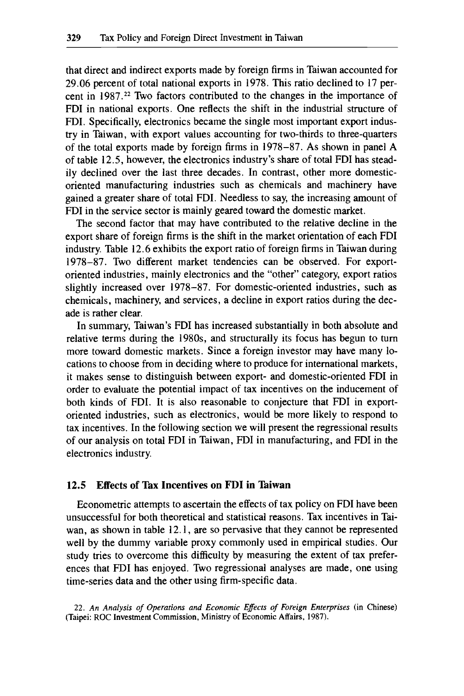that direct and indirect exports made by foreign firms in Taiwan accounted for 29.06 percent of total national exports in 1978. This ratio declined to 17 percent in 1987.<sup>22</sup> Two factors contributed to the changes in the importance of FDI in national exports. One reflects the shift in the industrial structure of FDI. Specifically, electronics became the single most important export industry in Taiwan, with export values accounting for two-thirds to three-quarters of the total exports made by foreign firms in 1978-87. As shown in panel A of table 12.5, however, the electronics industry's share of total FDI has steadily declined over the last three decades. In contrast, other more domesticoriented manufacturing industries such as chemicals and machinery have gained a greater share of total FDI. Needless to say, the increasing amount of FDI in the service sector is mainly geared toward the domestic market.

The second factor that may have contributed to the relative decline in the export share of foreign firms is the shift in the market orientation of each FDI industry. Table 12.6 exhibits the export ratio of foreign firms in Taiwan during 1978-87. Two different market tendencies can be observed. For exportoriented industries, mainly electronics and the "other" category, export ratios slightly increased over 1978-87. For domestic-oriented industries, such **as**  chemicals, machinery, and services, a decline in export ratios during the decade is rather clear.

In summary, Taiwan's FDI has increased substantially in both absolute and relative terms during the 1980s, and structurally its focus has begun to turn more toward domestic markets. Since a foreign investor may have many locations to choose from in deciding where to produce for international markets, it makes sense to distinguish between export- and domestic-oriented FDI in order to evaluate the potential impact of tax incentives on the inducement of both kinds of FDI. It is also reasonable to conjecture that FDI in exportoriented industries, such as electronics, would be more likely to respond to tax incentives. In the following section we will present the regressional results of our analysis on total FDI in Taiwan, FDI in manufacturing, and FDI in the electronics industry.

#### **12.5 Effects of Tax Incentives on FDI in Taiwan**

Econometric attempts to ascertain the effects of tax policy on FDI have been unsuccessful for both theoretical and statistical reasons. Tax incentives in Taiwan, as shown in table 12. l, are so pervasive that they cannot be represented well by the dummy variable proxy commonly used in empirical studies. Our study tries to overcome this difficulty by measuring the extent of tax preferences that FDI has enjoyed. Two regressional analyses are made, one using time-series data and the other using firm-specific data.

22. *An Analysis* of *Operations and Economic Effecrs* of *Foreign Enterprises* (in Chinese) (Taipei: ROC Investment Commission, Ministry of Economic Affairs, **1987).**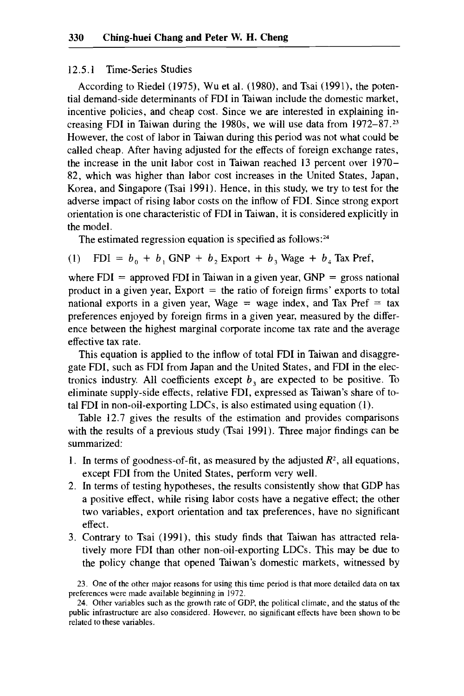#### 12.5.1 Time-Series Studies

According to Riedel (1975), Wu et al. (1980), and Tsai (1991), the potential demand-side determinants of FDI in Taiwan include the domestic market, incentive policies, and cheap cost. Since we are interested in explaining increasing FDI in Taiwan during the 1980s, we will use data from 1972-87.23 However, the cost of labor in Taiwan during this period was not what could be called cheap. After having adjusted for the effects of foreign exchange rates, the increase in the unit labor cost in Taiwan reached 13 percent over 1970- 82, which was higher than labor cost increases in the United States, Japan, Korea, and Singapore (Tsai 1991). Hence, in this study, we try to test for the adverse impact of rising labor costs on the inflow of FDI. Since strong export orientation is one characteristic of FDI in Taiwan, it is considered explicitly in the model.

The estimated regression equation is specified as follows:<sup>24</sup>

(1) 
$$
FDI = b_0 + b_1 GNP + b_2 Export + b_3 Wage + b_4 Tax Pref
$$

where  $FDI =$  approved  $FDI$  in Taiwan in a given year,  $GNP =$  gross national product in a given year,  $Export = the ratio of foreign firms' exports to total$ national exports in a given year, Wage  $=$  wage index, and Tax Pref  $=$  tax preferences enjoyed by foreign firms in a given year, measured by the difference between the highest marginal corporate income tax rate and the average effective tax rate.

This equation is applied to the inflow of total FDI in Taiwan and disaggregate FDI, such as FDI from Japan and the United States, and FDI in the electronics industry. All coefficients except  $b<sub>3</sub>$  are expected to be positive. To eliminate supply-side effects, relative FDI, expressed as Taiwan's share of total FDI in non-oil-exporting LDCs, is also estimated using equation (1).

Table 12.7 gives the results of the estimation and provides comparisons with the results of a previous study (Tsai 1991). Three major findings can be summarized:

- 1. In terms of goodness-of-fit, as measured by the adjusted *R2,* all equations, except FDI from the United States, perform very well.
- 2. In terms of testing hypotheses, the results consistently show that GDP has a positive effect, while rising labor costs have a negative effect; the other two variables, export orientation and tax preferences, have no significant effect.
- **3.** Contrary to Tsai (1991), this study finds that Taiwan has attracted relatively more FDI than other non-oil-exporting LDCs. This may be due to the policy change that opened Taiwan's domestic markets, witnessed by

23. One **of** the other major reasons for using this time period is that more detailed data on tax preferences were made available beginning in 1972.

**24.** Other variables such as the growth rate of GDP, the political climate, and the status **of** the public infrastructure are also considered. However, no significant effects have been shown to be related to these variables.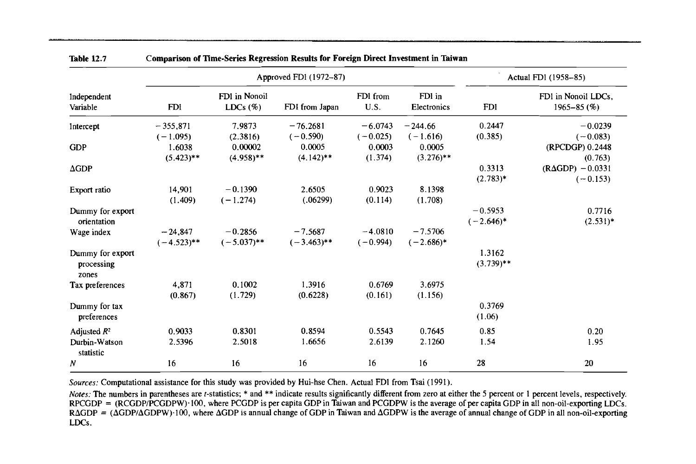|                            |               | Approved FDI (1972-87)    | Actual FDI (1958-85) |                  |                       |              |                                        |
|----------------------------|---------------|---------------------------|----------------------|------------------|-----------------------|--------------|----------------------------------------|
| Independent<br>Variable    | <b>FDI</b>    | FDI in Nonoil<br>LDCs (%) | FDI from Japan       | FDI from<br>U.S. | FDI in<br>Electronics | FD1          | FD1 in Nonoil LDCs,<br>$1965 - 85$ (%) |
| Intercept                  | $-355,871$    | 7.9873                    | $-76.2681$           | $-6.0743$        | $-244.66$             | 0.2447       | $-0.0239$                              |
|                            | $(-1.095)$    | (2.3816)                  | $(-0.590)$           | $(-0.025)$       | $(-1.616)$            | (0.385)      | $(-0.083)$                             |
| <b>GDP</b>                 | 1.6038        | 0.00002                   | 0.0005               | 0.0003           | 0.0005                |              | (RPCDGP) 0.2448                        |
|                            | $(5.423)$ **  | $(4.958)$ **              | $(4.142)$ **         | (1.374)          | $(3.276)$ **          |              | (0.763)                                |
| $\Delta GDP$               |               |                           |                      |                  |                       | 0.3313       | $(R\Delta GDP) - 0.0331$               |
|                            |               |                           |                      |                  |                       | $(2.783)*$   | $(-0.153)$                             |
| Export ratio               | 14,901        | $-0.1390$                 | 2.6505               | 0.9023           | 8.1398                |              |                                        |
|                            | (1.409)       | $(-1.274)$                | (.06299)             | (0.114)          | (1.708)               |              |                                        |
| Dummy for export           |               |                           |                      |                  |                       | $-0.5953$    | 0.7716                                 |
| orientation                |               |                           |                      |                  |                       | $(-2.646)^*$ | $(2.531)^*$                            |
| Wage index                 | $-24,847$     | $-0.2856$                 | $-7.5687$            | $-4.0810$        | $-7.5706$             |              |                                        |
|                            | $(-4.523)$ ** | $(-5.037)$ **             | $(-3.463)$ **        | $(-0.994)$       | $(-2.686)*$           |              |                                        |
| Dummy for export           |               |                           |                      |                  |                       | 1.3162       |                                        |
| processing<br>zones        |               |                           |                      |                  |                       | $(3.739)$ ** |                                        |
| Tax preferences            | 4,871         | 0.1002                    | 1.3916               | 0.6769           | 3.6975                |              |                                        |
|                            | (0.867)       | (1.729)                   | (0.6228)             | (0.161)          | (1.156)               |              |                                        |
| Dummy for tax              |               |                           |                      |                  |                       | 0.3769       |                                        |
| preferences                |               |                           |                      |                  |                       | (1.06)       |                                        |
| Adjusted $R^2$             | 0.9033        | 0.8301                    | 0.8594               | 0.5543           | 0.7645                | 0.85         | 0.20                                   |
| Durbin-Watson<br>statistic | 2.5396        | 2.5018                    | 1.6656               | 2.6139           | 2.1260                | 1.54         | 1.95                                   |
| N                          | 16            | 16                        | 16                   | 16               | 16                    | 28           | 20                                     |

| Table 12.7 | Comparison of Time-Series Regression Results for Foreign Direct Investment in Taiwan |
|------------|--------------------------------------------------------------------------------------|
|------------|--------------------------------------------------------------------------------------|

Sources: Computational assistance for this study was provided by Hui-hse Chen. Actual FDI from Tsai (1991).

*Nores:* The numbers in parentheses are r-statistics; \* and \*\* indicate results significantly different from zero at either the 5 percent or 1 percent levels, respectively. RPCGDP = (RCGDP/PCGDPW) 100, where PCGDP is per capita GDP in Taiwan and PCGDPW is the average of per capita GDP in all non-oil-exporting LDCs.  $R\Delta GDP = (\Delta GDP/\Delta GDP) \cdot 100$ , where  $\Delta GDP$  is annual change of GDP in Taiwan and  $\Delta GDPW$  is the average of annual change of GDP in all non-oil-exporting **LDCS.**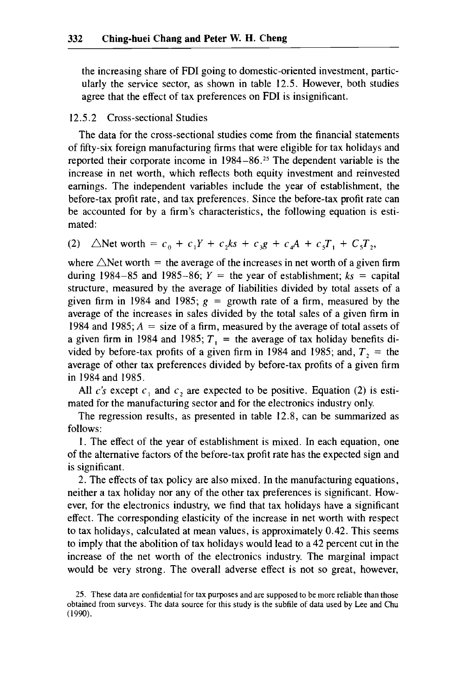the increasing share of FDI going to domestic-oriented investment, particularly the service sector, as shown in table 12.5. However, both studies agree that the effect of tax preferences on FDI is insignificant.

#### 12.5.2 Cross-sectional Studies

The data for the cross-sectional studies come from the financial statements of fifty-six foreign manufacturing firms that were eligible for tax holidays and reported their corporate income in 1984-86.25 The dependent variable is the increase in net worth, which reflects both equity investment and reinvested earnings. The independent variables include the year of establishment, the before-tax profit rate, and tax preferences. Since the before-tax profit rate can be accounted for by a firm's characteristics, the following equation is estimated:

(2) 
$$
\triangle
$$
Net worth =  $c_0 + c_1 Y + c_2 k s + c_3 g + c_4 A + c_5 T_1 + C_5 T_2$ ,

where  $\triangle$ Net worth = the average of the increases in net worth of a given firm during 1984-85 and 1985-86;  $Y =$  the year of establishment;  $ks =$  capital structure, measured by the average of liabilities divided by total assets of a given firm in 1984 and 1985;  $g =$  growth rate of a firm, measured by the average of the increases in sales divided by the total sales of a given firm in 1984 and 1985;  $A = size$  of a firm, measured by the average of total assets of a given firm in 1984 and 1985;  $T_1$  = the average of tax holiday benefits divided by before-tax profits of a given firm in 1984 and 1985; and,  $T<sub>2</sub>$  = the average of other tax preferences divided by before-tax profits of a given firm in 1984 and 1985.

All  $c's$  except  $c<sub>1</sub>$  and  $c<sub>2</sub>$  are expected to be positive. Equation (2) is estimated for the manufacturing sector and for the electronics industry only.

The regression results, as presented in table 12.8, can be summarized as follows:

1. The effect of the year of establishment is mixed. In each equation, one of the alternative factors of the before-tax profit rate has the expected sign and is significant.

2. The effects of tax policy are also mixed. In the manufacturing equations, neither a tax holiday nor any of the other tax preferences is significant. However, for the electronics industry, we find that tax holidays have a significant effect. The corresponding elasticity of the increase in net worth with respect to tax holidays, calculated at mean values, is approximately 0.42. This seems to imply that the abolition of tax holidays would lead to a 42 percent cut in the increase of the net worth of the electronics industry. The marginal impact would be very strong. The overall adverse effect is not so great, however,

**<sup>25.</sup>** These data are confidential for tax purposes and **are** supposed to be more reliable than those obtained from surveys. The data source for this study is thesubfile **of** data used by Lee and Chu ( 1990).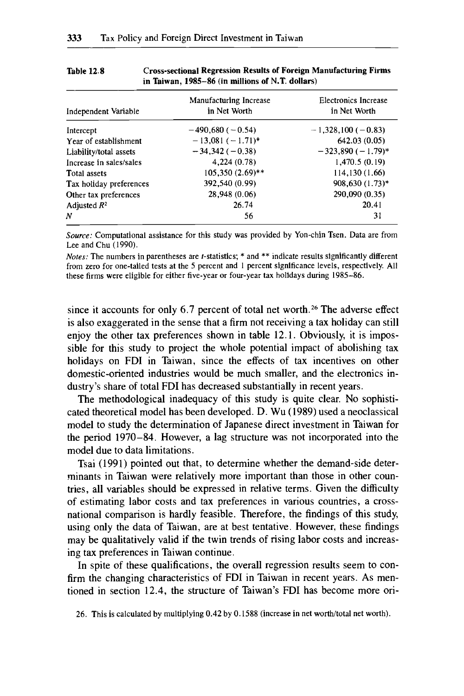| Independent Variable    | Manufacturing Increase<br>in Net Worth | Electronics Increase<br>in Net Worth |
|-------------------------|----------------------------------------|--------------------------------------|
| Intercept               | $-490.680(-0.54)$                      | $-1,328,100(-0.83)$                  |
| Year of establishment   | $-13,081(-1,71)*$                      | 642.03 (0.05)                        |
| Liability/total assets  | $-34.342(-0.38)$                       | $-323,890(-1,79)$ *                  |
| Increase in sales/sales | 4,224(0.78)                            | 1,470.5(0.19)                        |
| Total assets            | 105,350 (2.69)**                       | 114,130 (1.66)                       |
| Tax holiday preferences | 392.540 (0.99)                         | 908,630 (1.73)*                      |
| Other tax preferences   | 28,948 (0.06)                          | 290,090 (0.35)                       |
| Adjusted $R^2$          | 26.74                                  | 20.41                                |
| N                       | 56                                     | 31                                   |

| Table 12.8 | <b>Cross-sectional Regression Results of Foreign Manufacturing Firms</b> |
|------------|--------------------------------------------------------------------------|
|            | in Taiwan, $1985-86$ (in millions of N.T. dollars)                       |

*Source:* Computational assistance **for** this study was provided by Yon-chin Tsen. Data are from Lee and Chu (1990).

*Notes:* The numbers in parentheses are *t*-statistics; \* and \*\* indicate results significantly different from zero **for** one-tailed tests at the *5* percent and 1 percent significance levels, respectively. **All**  these firms were eligible **for** either five-year **or** four-year tax holidays during 1985-86.

since it accounts for only 6.7 percent of total net worth.<sup>26</sup> The adverse effect is also exaggerated in the sense that a firm not receiving a tax holiday can still enjoy the other tax preferences shown in table 12.1. Obviously, it is impossible for this study to project the whole potential impact of abolishing tax holidays on FDI in Taiwan, since the effects of tax incentives on other domestic-oriented industries would be much smaller, and the electronics industry's share of total FDI has decreased substantially in recent years.

The methodological inadequacy of this study is quite clear. No sophisticated theoretical model has been developed. D. Wu (1989) used a neoclassical model to study the determination of Japanese direct investment in Taiwan for the period 1970-84. However, a lag structure was not incorporated into the model due to data limitations.

Tsai (1991) pointed out that, to determine whether the demand-side determinants in Taiwan were relatively more important than those in other countries, all variables should be expressed in relative terms. Given the difficulty of estimating labor costs and tax preferences in various countries, a crossnational comparison is hardly feasible. Therefore, the findings of this study, using only the data of Taiwan, are at best tentative. However, these findings may be qualitatively valid if the twin trends of rising labor costs and increasing tax preferences in Taiwan continue.

In spite of these qualifications, the overall regression results seem to confirm the changing characteristics of FDI in Taiwan in recent years. **As** mentioned in section 12.4, the structure of Taiwan's FDI has become more ori-

26. This is calculated by multiplying 0.42 by 0.1588 (increase in net worth/total net worth).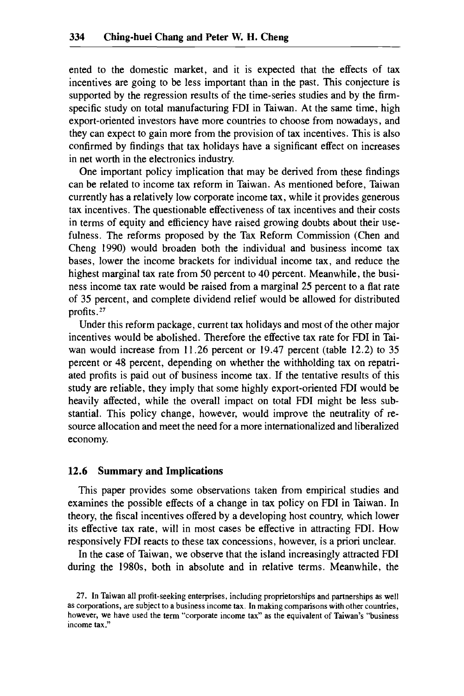ented to the domestic market, and it is expected that the effects of tax incentives are going to be less important than in the past. This conjecture is supported by the regression results of the time-series studies and by the firmspecific study on total manufacturing FDI in Taiwan. At the same time, high export-oriented investors have more countries to choose from nowadays, and they can expect to gain more from the provision of tax incentives. This is also confirmed by findings that tax holidays have a significant effect on increases in net worth in the electronics industry.

One important policy implication that may be derived from these findings can be related to income tax reform in Taiwan. **As** mentioned before, Taiwan currently has a relatively low corporate income tax, while it provides generous tax incentives. The questionable effectiveness of tax incentives and their costs in terms of equity and efficiency have raised growing doubts about their usefulness. The reforms proposed by the Tax Reform Commission (Chen and Cheng 1990) would broaden both the individual and business income tax bases, lower the income brackets for individual income tax, and reduce the highest marginal tax rate from 50 percent to 40 percent. Meanwhile, the business income tax rate would be raised from a marginal 25 percent to a flat rate of 35 percent, and complete dividend relief would be allowed for distributed profits.27

Under this reform package, current tax holidays and most of the other major incentives would be abolished. Therefore the effective tax rate for FDI in Taiwan would increase from 11.26 percent or 19.47 percent (table 12.2) to 35 percent or **48** percent, depending on whether the withholding tax on repatriated profits is paid out of business income tax. If the tentative results of this study are reliable, they imply that some highly export-oriented FDI would be heavily affected, while the overall impact on total FDI might be less substantial. This policy change, however, would improve the neutrality of resource allocation and meet the need for a more internationalized and liberalized economy.

#### **12.6 Summary and Implications**

This paper provides some observations taken from empirical studies and examines the possible effects of a change in tax policy on FDI in Taiwan. In theory, the fiscal incentives offered by a developing host country, which lower its effective tax rate, will in most cases be effective in attracting FDI. How responsively FDI reacts to these tax concessions, however, is **a** priori unclear.

In the case of Taiwan, we observe that the island increasingly attracted FDI during the 1980s, both in absolute and in relative terms. Meanwhile, the

<sup>27.</sup> In Taiwan all profit-seeking enterprises, including proprietorships and partnerships as well as corporations, are subject to a business income tax. In making comparisons with other countries, however, we have used the term "corporate income tax" as the equivalent of Taiwan's "business income tax."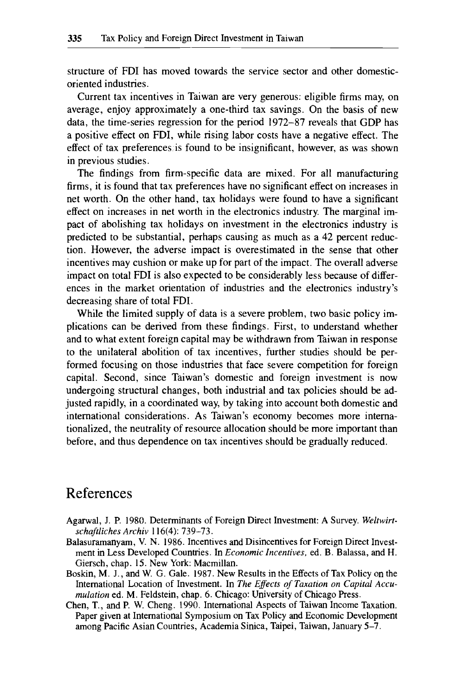structure of FDI has moved towards the service sector and other domesticoriented industries.

Current tax incentives in Taiwan are very generous: eligible firms may, on average, enjoy approximately a one-third tax savings. On the basis of new data, the time-series regression for the period 1972-87 reveals that GDP has a positive effect on FDI, while rising labor costs have a negative effect. The effect of tax preferences is found to be insignificant, however, as was shown in previous studies.

The findings from firm-specific data are mixed. For all manufacturing firms, it is found that tax preferences have no significant effect on increases in net worth. On the other hand, tax holidays were found to have a significant effect on increases in net worth in the electronics industry. The marginal impact of abolishing tax holidays on investment in the electronics industry is predicted to be substantial, perhaps causing as much as a 42 percent reduction. However, the adverse impact is overestimated in the sense that other incentives may cushion or make up for part of the impact. The overall adverse impact on total FDI is also expected to be considerably less because of differences in the market orientation of industries and the electronics industry's decreasing share of total FDI.

While the limited supply of data is a severe problem, two basic policy implications can be derived from these findings. First, to understand whether and to what extent foreign capital may be withdrawn from Taiwan in response to the unilateral abolition of tax incentives, further studies should be performed focusing on those industries that face severe competition for foreign capital. Second, since Taiwan's domestic and foreign investment is now undergoing structural changes, both industrial and tax policies should be adjusted rapidly, in a coordinated way, by taking into account both domestic and international considerations. **As** Taiwan's economy becomes more internationalized, the neutrality of resource allocation should be more important than before, and thus dependence on tax incentives should be gradually reduced.

# References

- Agarwal, J. P. 1980. Determinants of Foreign Direct Investment: A Survey. *Weltwirtschafliches Archiv* 116(4): 739-73.
- Balasuramanyam, **V.** N. 1986. Incentives and Disincentives for Foreign Direct Investment in Less Developed Countries. In *Economic Incentives,* ed. B. Balassa, and H. Giersch, chap. 15. New York: Macmillan.
- Boskin, **M.** J., and **W.** G. Gale. 1987. New Results in the Effects of Tax Policy on the International Location of Investment. In *The Effects of Taxation on Capital Accumulation* ed. **M.** Feldstein, chap. 6. Chicago: University of Chicago Press.
- Chen, T., and P. **W.** Cheng. 1990. International Aspects of Taiwan Income Taxation. Paper given at International Symposium on Tax Policy and Economic Development among Pacific Asian Countries, Academia Sinica, Taipei, Taiwan, January 5-7.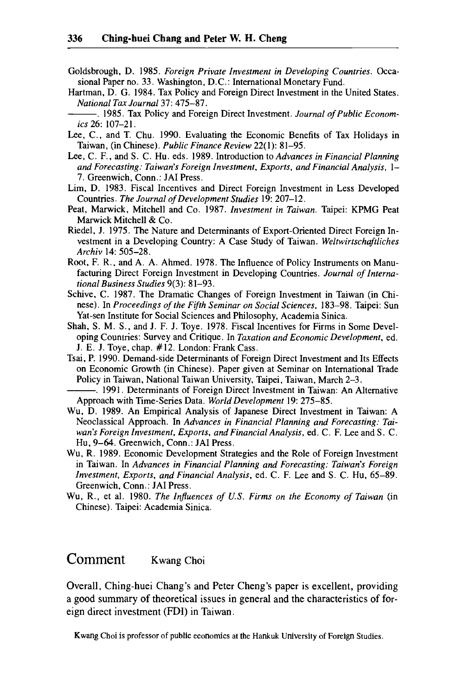- Goldsbrough, D. 1985. *Foreign Private Investment in Developing Countries.* Occasional Paper no. 33. Washington, D.C.: International Monetary Fund.
- Hartman, D. G. 1984. Tax Policy and Foreign Direct Investment in the United States. *National Tax Journal* 37: 475-87.

. 1985. Tax Policy and Foreign Direct Investment. *Journal of Public Economics* 26: 107-21.

- Lee, C., and T. Chu. 1990. Evaluating the Economic Benefits of Tax Holidays in Taiwan, (in Chinese). *Public Finance Review* 22(1): 81-95.
- Lee, C. F., and S. C. Hu. eds. 1989. Introduction to *Advances in Financial Planning*  and Forecasting: Taiwan's Foreign Investment, Exports, and Financial Analysis, 1– 7. Greenwich, Conn.: JAI Press.
- Lim, D. 1983. Fiscal Incentives and Direct Foreign Investment in Less Developed Countries. *The Journal of Development Studies* 19: 207-12.
- Peat, Marwick, Mitchell and Co. 1987. *Investment in Taiwan.* Taipei: KPMG Peat Marwick Mitchell & Co.
- Riedel, J. 1975. The Nature and Determinants of Export-Oriented Direct Foreign Investment in a Developing Country: A Case Study of Taiwan. *Weltwirtschaftliches Archiv* 14: 505-28.
- Root, F. R., and A. A. Ahmed. 1978. The Influence of Policy Instruments on Manufacturing Direct Foreign Investment in Developing Countries. *Journal of International Business Studies* 9(3): 81-93.
- Schive, C. 1987. The Dramatic Changes of Foreign Investment in Taiwan (in Chinese). In *Proceedings of the Fifth Seminar on Social Sciences,* 183-98. Taipei: Sun Yat-sen Institute for Social Sciences and Philosophy, Academia Sinica.
- Shah, S. M. S., and J. F. J. Toye. 1978. Fiscal Incentives for Firms in Some Developing Countries: Survey and Critique. In *Taxation and Economic Development,* ed. J. E. J. Toye, chap. #12. London: Frank Cass.
- Tsai, P. 1990. Demand-side Determinants of Foreign Direct Investment and Its Effects on Economic Growth (in Chinese). Paper given at Seminar on International Trade Policy in Taiwan, National Taiwan University, Taipei, Taiwan, March 2-3.

. 1991. Determinants of Foreign Direct Investment in Taiwan: An Alternative Approach with Time-Series Data. *World Development* 19: 275-85.

- Wu, D. 1989. An Empirical Analysis of Japanese Direct Investment in Taiwan: A Neoclassical Approach. In *Advances in Financial Planning and Forecasting: Taiwan's Foreign Investment, Exports, and Financial Analysis,* ed. C. F. Lee and S. C. Hu, 9-64. Greenwich, Conn.: JAI Press.
- Wu, R. 1989. Economic Development Strategies and the Role of Foreign Investment in Taiwan. In *Advances in Financial Planning and Forecasting: Taiwan's Foreign Investment, Exports, and Financial Analysis,* ed. C. F. Lee and S. C. Hu, 65-89. Greenwich, Conn.: JAI Press.
- Wu, R., et al. 1980. *The Injuences of US. Firms on the Economy* of *Taiwan* (in Chinese). Taipei: Academia Sinica.

## Comment Kwang Choi

Overall, Ching-huei Chang 's and Peter Cheng 's paper is excellent, providing a good summary **of** theoretical issues in general and the characteristics of foreign direct investment (FDI) in Taiwan.

Kwang Choi is professor of public economics at the **Hankuk** University of Foreign Studies.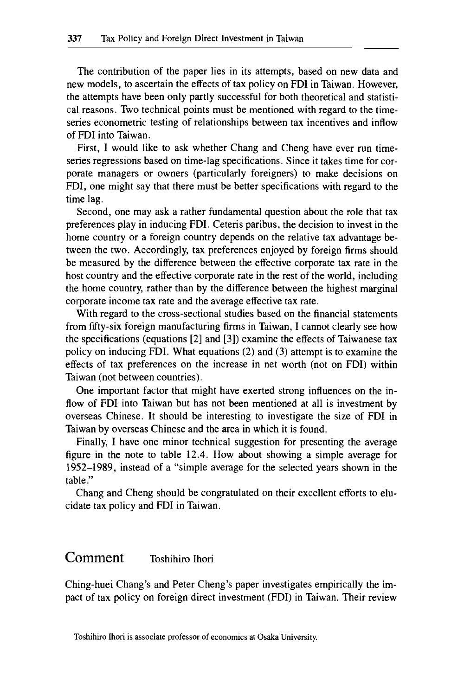The contribution of the paper lies in its attempts, based on new data and new models, to ascertain the effects of tax policy on FDI in Taiwan. However, the attempts have been only partly successful for both theoretical and statistical reasons. Two technical points must be mentioned with regard to the timeseries econometric testing of relationships between tax incentives and inflow of FDI into Taiwan.

First, I would like to ask whether Chang and Cheng have ever run timeseries regressions based on time-lag specifications. Since it takes time for corporate managers or owners (particularly foreigners) to make decisions on FDI, one might say that there must be better specifications with regard to the time lag.

Second, one may ask a rather fundamental question about the role that tax preferences play in inducing FDI. Ceteris paribus, the decision to invest in the home country or a foreign country depends on the relative tax advantage between the two. Accordingly, tax preferences enjoyed by foreign firms should be measured by the difference between the effective corporate tax rate in the host country and the effective corporate rate in the rest of the world, including the home country, rather than by the difference between the highest marginal corporate income tax rate and the average effective tax rate.

With regard to the cross-sectional studies based on the financial statements from fifty-six foreign manufacturing firms in Taiwan, I cannot clearly see how the specifications (equations **[2]** and [3]) examine the effects of Taiwanese tax policy on inducing FDI. What equations **(2)** and **(3)** attempt is to examine the effects of tax preferences on the increase in net worth (not on FDI) within Taiwan (not between countries).

One important factor that might have exerted strong influences on the inflow of FDI into Taiwan but has not been mentioned at all is investment by overseas Chinese. It should be interesting to investigate the size of FDI in Taiwan by overseas Chinese and the area in which it is found.

Finally, I have one minor technical suggestion for presenting the average figure in the note to table **12.4.** How about showing a simple average for **1952-1989,** instead of a "simple average for the selected years shown in the table ."

Chang and Cheng should be congratulated on their excellent efforts to elucidate tax policy and FDI in Taiwan.

# Comment Toshihiro Ihori

Ching-huei Chang's and Peter Cheng's paper investigates empirically the impact of tax policy on foreign direct investment (FDI) in Taiwan. Their review